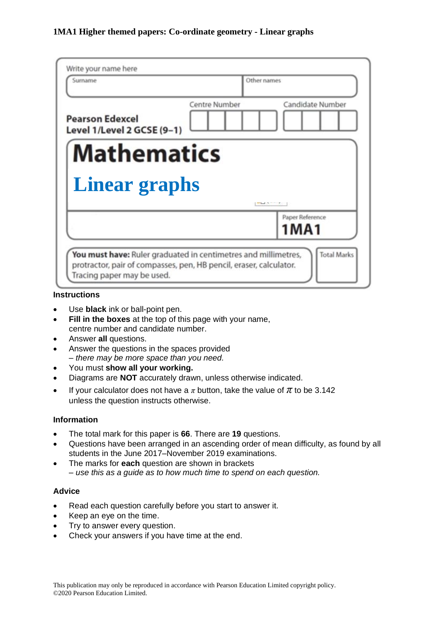| Candidate Number               |                                                                                                                                                                                                 |
|--------------------------------|-------------------------------------------------------------------------------------------------------------------------------------------------------------------------------------------------|
|                                |                                                                                                                                                                                                 |
|                                |                                                                                                                                                                                                 |
|                                |                                                                                                                                                                                                 |
| Paper Reference<br><b>1MA1</b> |                                                                                                                                                                                                 |
|                                | the control of the control of the<br><b>Total Marks</b><br>You must have: Ruler graduated in centimetres and millimetres,<br>protractor, pair of compasses, pen, HB pencil, eraser, calculator. |

#### **Instructions**

- Use **black** ink or ball-point pen.
- **Fill in the boxes** at the top of this page with your name, centre number and candidate number.
- Answer **all** questions.
- Answer the questions in the spaces provided *– there may be more space than you need.*
- You must **show all your working.**
- Diagrams are **NOT** accurately drawn, unless otherwise indicated.
- If your calculator does not have a  $\pi$  button, take the value of  $\pi$  to be 3.142 unless the question instructs otherwise.

#### **Information**

- The total mark for this paper is **66**. There are **19** questions.
- Questions have been arranged in an ascending order of mean difficulty, as found by all students in the June 2017–November 2019 examinations.
- The marks for **each** question are shown in brackets *– use this as a guide as to how much time to spend on each question.*

#### **Advice**

- Read each question carefully before you start to answer it.
- Keep an eye on the time.
- Try to answer every question.
- Check your answers if you have time at the end.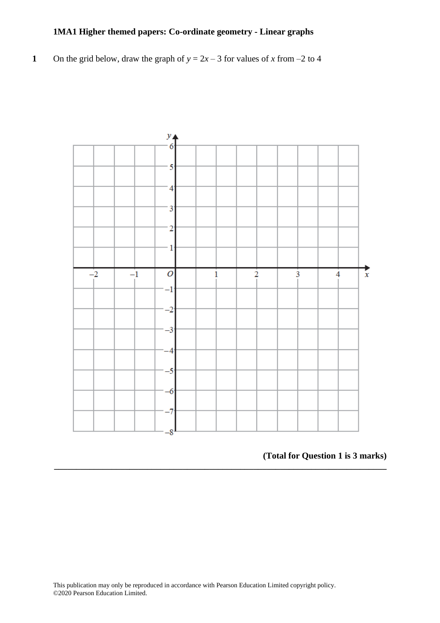**1** On the grid below, draw the graph of  $y = 2x - 3$  for values of *x* from –2 to 4



**\_\_\_\_\_\_\_\_\_\_\_\_\_\_\_\_\_\_\_\_\_\_\_\_\_\_\_\_\_\_\_\_\_\_\_\_\_\_\_\_\_\_\_\_\_\_\_\_\_\_\_\_\_\_\_\_\_\_\_\_\_\_\_\_\_\_\_\_\_\_\_\_\_\_\_**

# **(Total for Question 1 is 3 marks)**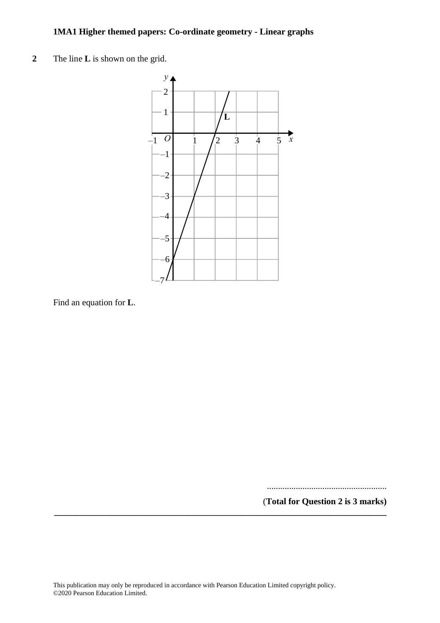**2** The line **L** is shown on the grid. **3** The line **L** is shown on the grid.



Find an equation for **L**. Find an equation for **L**.

......................................................

(**Total for Question 2 is 3 marks) \_\_\_\_\_\_\_\_\_\_\_\_\_\_\_\_\_\_\_\_\_\_\_\_\_\_\_\_\_\_\_\_\_\_\_\_\_\_\_\_\_\_\_\_\_\_\_\_\_\_\_\_\_\_\_\_\_\_\_\_\_\_\_\_\_\_\_\_\_\_\_\_\_\_\_**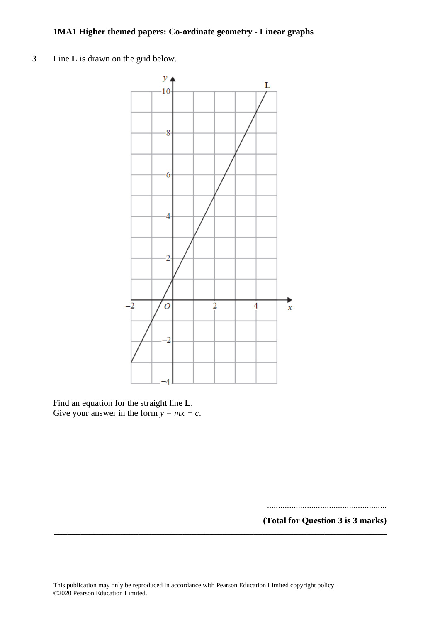**3** Line **L** is drawn on the grid below.



Find an equation for the straight line **L**. Give your answer in the form  $y = mx + c$ .

......................................................

**(Total for Question 3 is 3 marks) \_\_\_\_\_\_\_\_\_\_\_\_\_\_\_\_\_\_\_\_\_\_\_\_\_\_\_\_\_\_\_\_\_\_\_\_\_\_\_\_\_\_\_\_\_\_\_\_\_\_\_\_\_\_\_\_\_\_\_\_\_\_\_\_\_\_\_\_\_\_\_\_\_\_\_**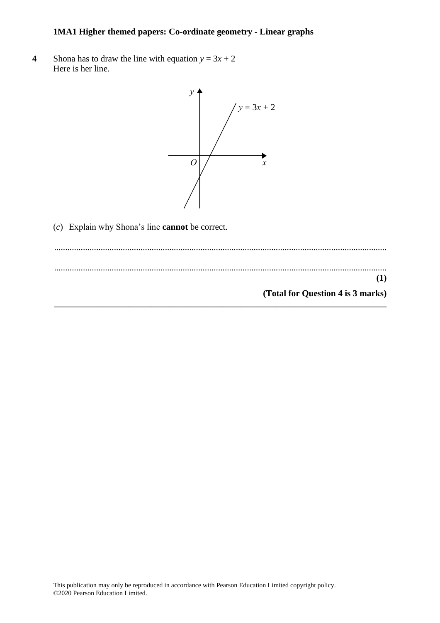**4** Shona has to draw the line with equation  $y = 3x + 2$ Here is her line. Here is her line.



(*c*) Explain why Shona's line **cannot** be correct. (c) Explain why Shona's line **cannot** be correct.

...................................................................................................................................................... .................................................................................................................................................................................................................................................. ...................................................................................................................................................... .................................................................................................................................................................................................................................................. **(1) (1) (Total for Question 4 is 3 marks) (Total for Question 5 is 3 marks)\_\_\_\_\_\_\_\_\_\_\_\_\_\_\_\_\_\_\_\_\_\_\_\_\_\_\_\_\_\_\_\_\_\_\_\_\_\_\_\_\_\_\_\_\_\_\_\_\_\_\_\_\_\_\_\_\_\_\_\_\_\_\_\_\_\_\_\_\_\_\_\_\_\_\_**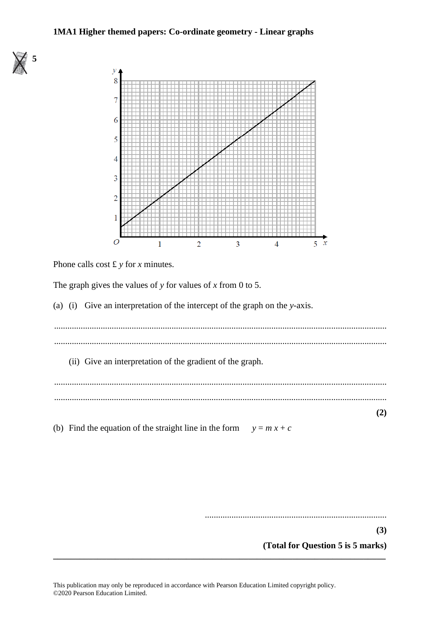

Phone calls cost £ *y* for *x* minutes.

**5**

The graph gives the values of *y* for values of *x* from 0 to 5.

(a) (i) Give an interpretation of the intercept of the graph on the *y*-axis.

...................................................................................................................................................... ......................................................................................................................................................

(ii) Give an interpretation of the gradient of the graph.

...................................................................................................................................................... ......................................................................................................................................................

(b) Find the equation of the straight line in the form  $y = mx + c$ 

..................................................................................

**(3)**

**(2)**

**(Total for Question 5 is 5 marks)**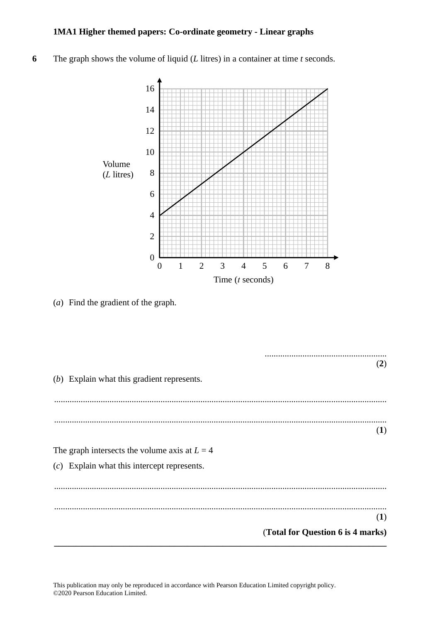The graph shows the volume of liquid  $(L$  litres) in a container at time  $t$  seconds.  $\boldsymbol{6}$ 



 $(a)$  Find the gradient of the graph.

|                                                 | (2) |
|-------------------------------------------------|-----|
|                                                 |     |
| (b) Explain what this gradient represents.      |     |
|                                                 |     |
|                                                 |     |
|                                                 |     |
|                                                 | (1) |
|                                                 |     |
| The graph intersects the volume axis at $L = 4$ |     |
| $(c)$ Explain what this intercept represents.   |     |
|                                                 |     |
|                                                 |     |
|                                                 |     |
|                                                 | (1) |
|                                                 |     |
| (Total for Question 6 is 4 marks)               |     |

This publication may only be reproduced in accordance with Pearson Education Limited copyright policy. ©2020 Pearson Education Limited.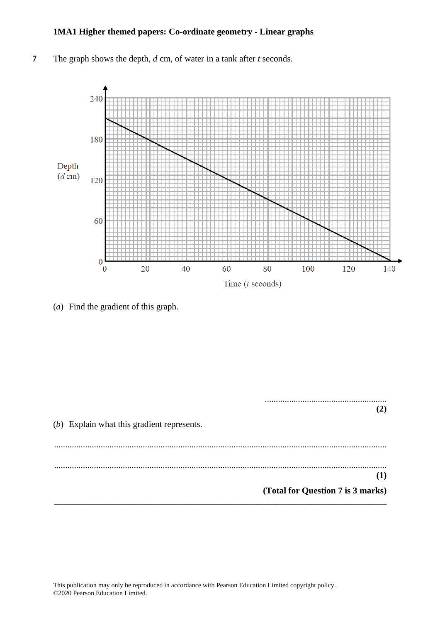**7** The graph shows the depth, *d* cm, of water in a tank after *t* seconds.



(*a*) Find the gradient of this graph.

....................................................... **(2)** (*b*) Explain what this gradient represents. ...................................................................................................................................................... ...................................................................................................................................................... **(1) (Total for Question 7 is 3 marks) \_\_\_\_\_\_\_\_\_\_\_\_\_\_\_\_\_\_\_\_\_\_\_\_\_\_\_\_\_\_\_\_\_\_\_\_\_\_\_\_\_\_\_\_\_\_\_\_\_\_\_\_\_\_\_\_\_\_\_\_\_\_\_\_\_\_\_\_\_\_\_\_\_\_\_**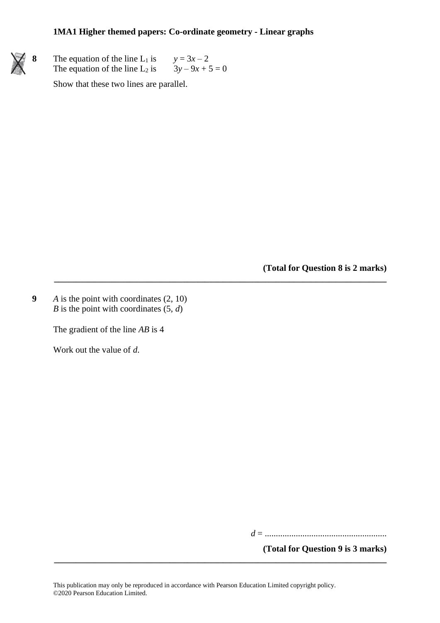**\_\_\_\_\_\_\_\_\_\_\_\_\_\_\_\_\_\_\_\_\_\_\_\_\_\_\_\_\_\_\_\_\_\_\_\_\_\_\_\_\_\_\_\_\_\_\_\_\_\_\_\_\_\_\_\_\_\_\_\_\_\_\_\_\_\_\_\_\_\_\_\_\_\_\_**



**8** The equation of the line L<sub>1</sub> is  $y = 3x - 2$ The equation of the line L<sub>2</sub> is  $3y - 9x + 5 = 0$ 

Show that these two lines are parallel.

**(Total for Question 8 is 2 marks)**

**9** *A* is the point with coordinates (2, 10) *B* is the point with coordinates (5, *d*)

The gradient of the line *AB* is 4

Work out the value of *d*.

*d* = .......................................................

**(Total for Question 9 is 3 marks)**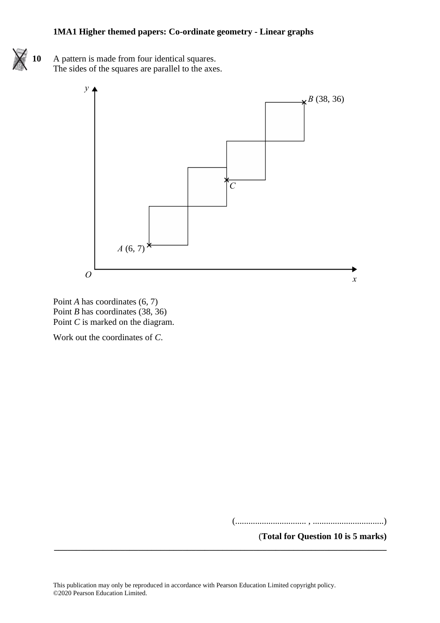**10** A pattern is made from four identical squares. The sides of the squares are parallel to the axes. The sides of the squares are parallel to the axes.



Point *A* has coordinates (6, 7) Point *A* has coordinates (6, 7) Point *B* has coordinates (38, 36) Point *B* has coordinates (38, 36) Point *C* is marked on the diagram. Point *C* is marked on the diagram.

Work out the coordinates of *C*. Work out the coordinates of *C*.

(................................ , ................................)

**(Total for Question 6 is 5 marks)**

(**Total for Question 10 is 5 marks)** (................................ , ................................)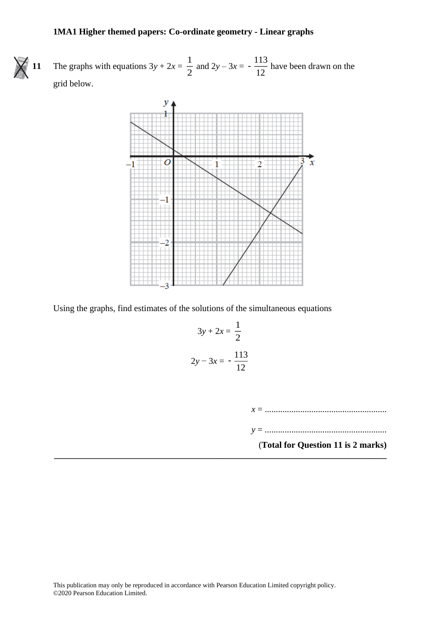**11** The graphs with equations  $3y + 2x = \frac{1}{2}$  $\frac{1}{2}$  and  $2y - 3x = -\frac{113}{12}$  $\frac{12}{12}$  have been drawn on the grid below.



Using the graphs, find estimates of the solutions of the simultaneous equations

$$
3y + 2x = \frac{1}{2}
$$
  

$$
2y - 3x = -\frac{113}{12}
$$

**\_\_\_\_\_\_\_\_\_\_\_\_\_\_\_\_\_\_\_\_\_\_\_\_\_\_\_\_\_\_\_\_\_\_\_\_\_\_\_\_\_\_\_\_\_\_\_\_\_\_\_\_\_\_\_\_\_\_\_\_\_\_\_\_\_\_\_\_\_\_\_\_\_\_\_**

*x* = .......................................................

*y* = .......................................................

(**Total for Question 11 is 2 marks)**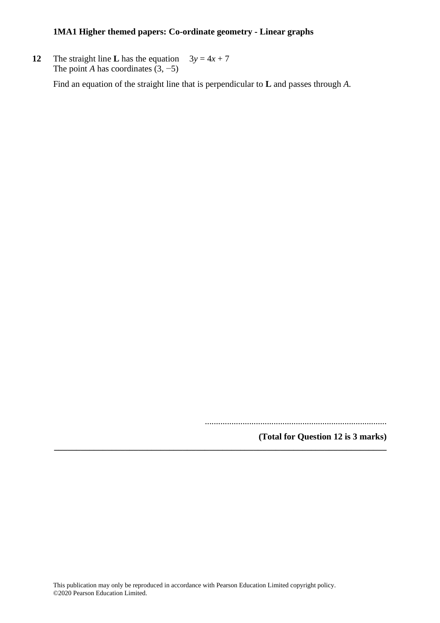**12** The straight line **L** has the equation  $3y = 4x + 7$ The point *A* has coordinates  $(3, -5)$ 

Find an equation of the straight line that is perpendicular to **L** and passes through *A*.

..................................................................................

**(Total for Question 12 is 3 marks)**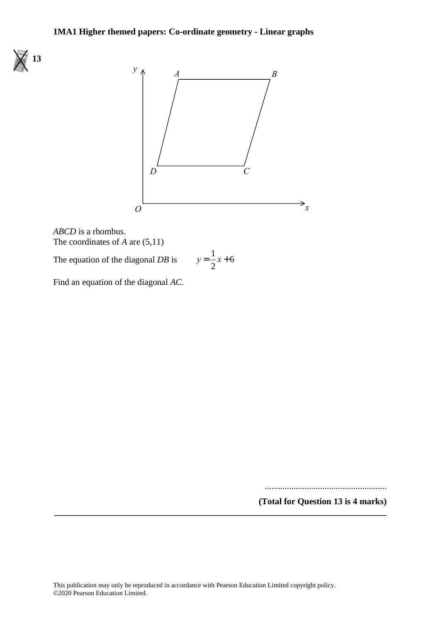



*ABCD* is a rhombus. *ABCD* is <sup>a</sup> rhombus. The coordinates of *A* are (5,11) The coordinates of *A* are (5,11) The equation of the diagonal *DB* is *y* <sup>=</sup>

$$
y = \frac{1}{2}x + 6
$$

Find an equation of the diagonal *AC*.

The equation of the diagonal *DB* is

Find an equation of the diagonal *AC*.

.......................................................

**(Total for Question 13 is 4 marks)** .......................................................

**(Total for Question 18 is 4 marks)**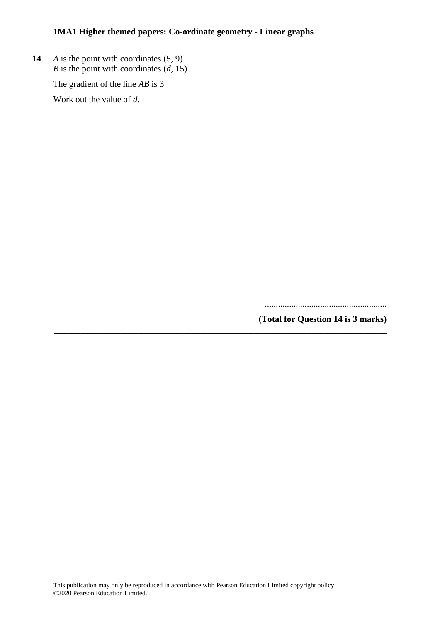**14** *A* is the point with coordinates (5, 9) *B* is the point with coordinates  $(d, 15)$ 

The gradient of the line *AB* is 3

Work out the value of *d*.

.......................................................

**(Total for Question 14 is 3 marks)**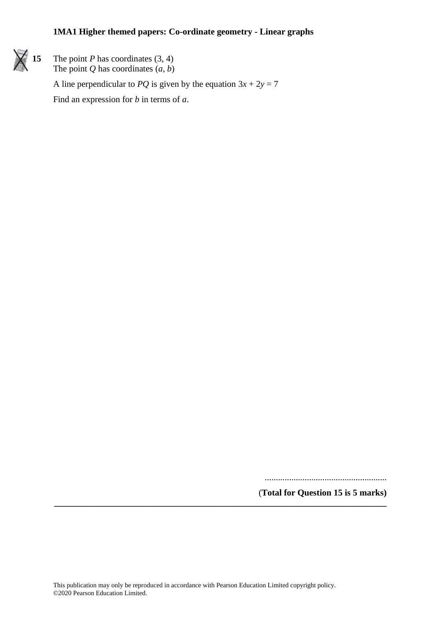

**15** The point *P* has coordinates (3, 4) The point *Q* has coordinates  $(a, b)$ 

A line perpendicular to *PQ* is given by the equation  $3x + 2y = 7$ 

Find an expression for *b* in terms of *a*.

....................................................... (**Total for Question 15 is 5 marks)**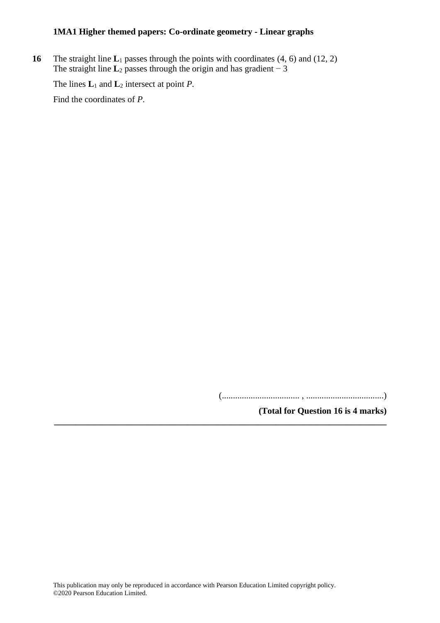**16** The straight line **L**<sub>1</sub> passes through the points with coordinates (4, 6) and (12, 2) The straight line  $\mathbf{L}_2$  passes through the origin and has gradient  $\overline{-3}$ 

The lines **L**<sup>1</sup> and **L**<sup>2</sup> intersect at point *P*.

Find the coordinates of *P*.

(................................... , ...................................)

**(Total for Question 16 is 4 marks)**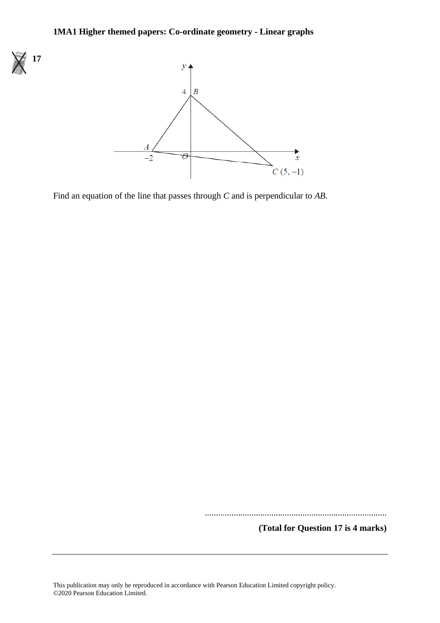

Find an equation of the line that passes through *C* and is perpendicular to *AB*.

..................................................................................

**(Total for Question 17 is 4 marks)**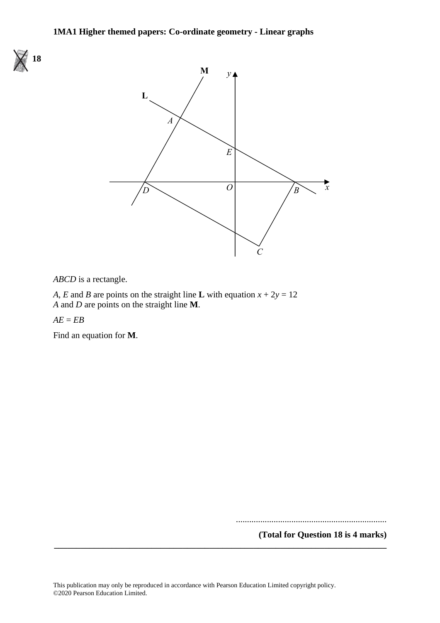



*ABCD* is a rectangle. *ABCD* is <sup>a</sup> rectangle.

A, E and B are points on the straight line L with equation  $x + 2y = 12$ *A* and *D* are points on the straight line **M**. *A* and *D* are points on the straight line **M**.

*AE* = *EB AE* <sup>=</sup> *EB*

Find an equation for **M**. Find an equation for **M**.

....................................................................

**(Total for Question 18 is 4 marks) \_\_\_\_\_\_\_\_\_\_\_\_\_\_\_\_\_\_\_\_\_\_\_\_\_\_\_\_\_\_\_\_\_\_\_\_\_\_\_\_\_\_\_\_\_\_\_\_\_\_\_\_\_\_\_\_\_\_\_\_\_\_\_\_\_\_\_\_\_\_\_\_\_\_\_**